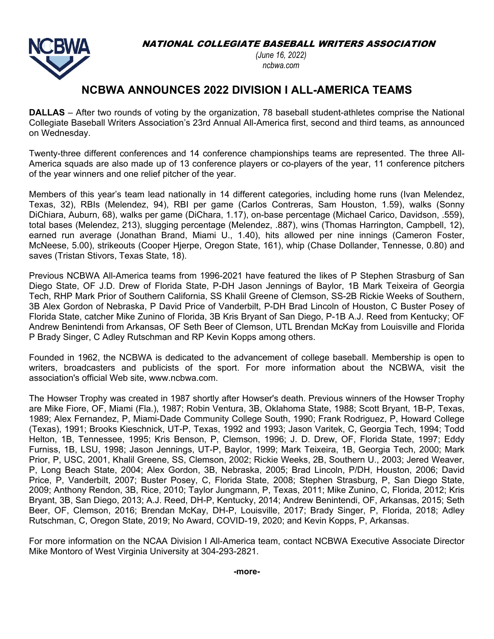NATIONAL COLLEGIATE BASEBALL WRITERS ASSOCIATION



*(June 16, 2022) ncbwa.com* 

## **NCBWA ANNOUNCES 2022 DIVISION I ALL-AMERICA TEAMS**

**DALLAS** – After two rounds of voting by the organization, 78 baseball student-athletes comprise the National Collegiate Baseball Writers Association's 23rd Annual All-America first, second and third teams, as announced on Wednesday.

Twenty-three different conferences and 14 conference championships teams are represented. The three All-America squads are also made up of 13 conference players or co-players of the year, 11 conference pitchers of the year winners and one relief pitcher of the year.

Members of this year's team lead nationally in 14 different categories, including home runs (Ivan Melendez, Texas, 32), RBIs (Melendez, 94), RBI per game (Carlos Contreras, Sam Houston, 1.59), walks (Sonny DiChiara, Auburn, 68), walks per game (DiChara, 1.17), on-base percentage (Michael Carico, Davidson, .559), total bases (Melendez, 213), slugging percentage (Melendez, .887), wins (Thomas Harrington, Campbell, 12), earned run average (Jonathan Brand, Miami U., 1.40), hits allowed per nine innings (Cameron Foster, McNeese, 5.00), strikeouts (Cooper Hjerpe, Oregon State, 161), whip (Chase Dollander, Tennesse, 0.80) and saves (Tristan Stivors, Texas State, 18).

Previous NCBWA All-America teams from 1996-2021 have featured the likes of P Stephen Strasburg of San Diego State, OF J.D. Drew of Florida State, P-DH Jason Jennings of Baylor, 1B Mark Teixeira of Georgia Tech, RHP Mark Prior of Southern California, SS Khalil Greene of Clemson, SS-2B Rickie Weeks of Southern, 3B Alex Gordon of Nebraska, P David Price of Vanderbilt, P-DH Brad Lincoln of Houston, C Buster Posey of Florida State, catcher Mike Zunino of Florida, 3B Kris Bryant of San Diego, P-1B A.J. Reed from Kentucky; OF Andrew Benintendi from Arkansas, OF Seth Beer of Clemson, UTL Brendan McKay from Louisville and Florida P Brady Singer, C Adley Rutschman and RP Kevin Kopps among others.

Founded in 1962, the NCBWA is dedicated to the advancement of college baseball. Membership is open to writers, broadcasters and publicists of the sport. For more information about the NCBWA, visit the association's official Web site, www.ncbwa.com.

The Howser Trophy was created in 1987 shortly after Howser's death. Previous winners of the Howser Trophy are Mike Fiore, OF, Miami (Fla.), 1987; Robin Ventura, 3B, Oklahoma State, 1988; Scott Bryant, 1B-P, Texas, 1989; Alex Fernandez, P, Miami-Dade Community College South, 1990; Frank Rodriguez, P, Howard College (Texas), 1991; Brooks Kieschnick, UT-P, Texas, 1992 and 1993; Jason Varitek, C, Georgia Tech, 1994; Todd Helton, 1B, Tennessee, 1995; Kris Benson, P, Clemson, 1996; J. D. Drew, OF, Florida State, 1997; Eddy Furniss, 1B, LSU, 1998; Jason Jennings, UT-P, Baylor, 1999; Mark Teixeira, 1B, Georgia Tech, 2000; Mark Prior, P, USC, 2001, Khalil Greene, SS, Clemson, 2002; Rickie Weeks, 2B, Southern U., 2003; Jered Weaver, P, Long Beach State, 2004; Alex Gordon, 3B, Nebraska, 2005; Brad Lincoln, P/DH, Houston, 2006; David Price, P, Vanderbilt, 2007; Buster Posey, C, Florida State, 2008; Stephen Strasburg, P, San Diego State, 2009; Anthony Rendon, 3B, Rice, 2010; Taylor Jungmann, P, Texas, 2011; Mike Zunino, C, Florida, 2012; Kris Bryant, 3B, San Diego, 2013; A.J. Reed, DH-P, Kentucky, 2014; Andrew Benintendi, OF, Arkansas, 2015; Seth Beer, OF, Clemson, 2016; Brendan McKay, DH-P, Louisville, 2017; Brady Singer, P, Florida, 2018; Adley Rutschman, C, Oregon State, 2019; No Award, COVID-19, 2020; and Kevin Kopps, P, Arkansas.

For more information on the NCAA Division I All-America team, contact NCBWA Executive Associate Director Mike Montoro of West Virginia University at 304-293-2821.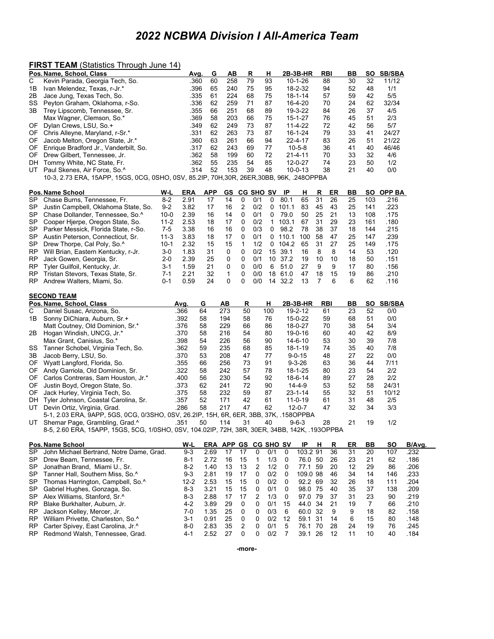# *2022 NCBWA Division I All-America Team*

#### **FIRST TEAM** (Statistics Through June 14)

RP Carter Spivey, East Carolina, Jr.^<br>RP Redmond Walsh, Tennessee, Grad.

|           | <u>INST ILAM (Statistics Through June 14)</u>                                                 |            |            |                      |                 |     |     |         |               |    |            |           |                |               |        |
|-----------|-----------------------------------------------------------------------------------------------|------------|------------|----------------------|-----------------|-----|-----|---------|---------------|----|------------|-----------|----------------|---------------|--------|
|           | Pos. Name, School, Class                                                                      | Avg.       | G          | ΑВ                   | R               |     | H   |         | 2B-3B-HR      |    | <b>RBI</b> | BВ        | so             | <b>SB/SBA</b> |        |
| С         | Kevin Parada, Georgia Tech, So.                                                               | .360       | 60         | 258                  | 79              |     | 93  |         | 10-1-26       |    | 88         | 30        | 32             | 11/12         |        |
| 1Β        | Ivan Melendez, Texas, r-Jr.*                                                                  | .396       | 65         | 240                  | 75              |     | 95  |         | 18-2-32       |    | 94         | 52        | 48             | 1/1           |        |
| 2Β        | Jace Jung, Texas Tech, So.                                                                    | .335       | 61         | 224                  | 68              |     | 75  |         | 18-1-14       |    | 57         | 59        | 42             | 5/5           |        |
| SS        | Peyton Graham, Oklahoma, r-So.                                                                | .336       | 62         | 259                  | 71              |     | 87  |         | 16-4-20       |    | 70         | 24        | 62             | 32/34         |        |
| 3В        | Trey Lipscomb, Tennessee, Sr.                                                                 | .355       | 66         | 251                  | 68              |     | 89  |         | 19-3-22       |    | 84         | 26        | 37             | 4/5           |        |
|           | Max Wagner, Clemson, So.*                                                                     | .369       | 58         | 203                  | 66              |     | 75  |         | 15-1-27       |    | 76         | 45        | 51             | 2/3           |        |
| OF.       | Dylan Crews, LSU, So.+                                                                        | .349       | 62         | 249                  | 73              |     | 87  |         | 11-4-22       |    | 72         | 42        | 56             | 5/7           |        |
| OF        | Chris Alleyne, Maryland, r-Sr.*                                                               | .331       | 62         | 263                  | 73              |     | 87  |         | 16-1-24       |    | 79         | 33        | 41             | 24/27         |        |
| 0F        | Jacob Melton, Oregon State, Jr.*                                                              | .360       | 63         | 261                  | 66              |     | 94  |         | 22-4-17       |    | 83         | 26        | 51             | 21/22         |        |
| OF.       | Enrique Bradford Jr., Vanderbilt, So.                                                         | .317       | 62         | 243                  | 69              |     | 77  |         | $10 - 5 - 8$  |    | 36         | 41        | 40             | 46/46         |        |
| OF.       | Drew Gilbert, Tennessee, Jr.                                                                  | .362       | 58         | 199                  | 60              |     | 72  |         | $21 - 4 - 11$ |    | 70         | 33        | 32             | 4/6           |        |
| DH        | Tommy White, NC State, Fr.                                                                    | .362       | 55         | 235                  | 54              |     | 85  |         | 12-0-27       |    | 74         | 23        | 50             | 1/2           |        |
| UT        | Paul Skenes, Air Force, So. <sup>^</sup>                                                      | .314       | 52         | 153                  | 39              |     | 48  |         | $10 - 0 - 13$ |    | 38         | 21        | 40             | 0/0           |        |
|           | 10-3, 2.73 ERA, 15APP, 15GS, 0CG, 0SHO, 0SV, 85.2IP, 70H,30R, 26ER,30BB, 96K, .248OPPBA       |            |            |                      |                 |     |     |         |               |    |            |           |                |               |        |
|           |                                                                                               |            |            |                      |                 |     |     |         |               |    |            |           |                |               |        |
|           | W-L<br><b>Pos. Name School</b>                                                                | <u>ERA</u> | <b>APP</b> |                      | GS CG SHO SV IP |     |     |         | н             | R  | <u>ER</u>  | BВ        | SO.            | <b>OPP BA</b> |        |
| SP        | $8 - 2$<br>Chase Burns, Tennessee, Fr.                                                        | 2.91       | 17         | 14                   | 0               | 0/1 | 0   | 80.1    | 65            | 31 | 26         | 25        | 103            | .216          |        |
| SP        | $9 - 2$<br>Justin Campbell, Oklahoma State, So.                                               | 3.82       | 17         | 16                   | 2               | 0/2 | 0   | 101.1   | 83            | 45 | 43         | 25        | 141            | .223          |        |
| SP        | Chase Dollander, Tennessee, So.^<br>$10 - 0$                                                  | 2.39       | 16         | 14                   | 0               | 0/1 | 0   | 79.0    | 50            | 25 | 21         | 13        | 108            | .175          |        |
| SP        | Cooper Hjerpe, Oregon State, So.<br>$11 - 2$                                                  | 2.53       | 18         | 17                   | 0               | 0/2 | 1   | 103.1   | 67            | 31 | 29         | 23        | 161            | .180          |        |
| SP        | Parker Messick, Florida State, r-So.<br>7-5                                                   | 3.38       | 16         | 16                   | 0               | 0/3 | 0   | 98.2    | 78            | 38 | 37         | 18        | 144            | .215          |        |
| SP        | Austin Peterson, Connecticut, Sr.<br>$11 - 3$                                                 | 3.83       | 18         | 17                   | 0               | 0/1 | 0   | 110.1   | 100           | 58 | 47         | 25        | 147            | .239          |        |
| SP        | Drew Thorpe, Cal Poly, So.^<br>$10 - 1$                                                       | 2.32       | 15         | 15                   | 1               | 1/2 | 0   | 104.2   | 65            | 31 | 27         | 25        | 149            | .175          |        |
| RP        | $3-0$<br>Will Brian, Eastern Kentucky, r-Jr.                                                  | 1.83       | 31         | 0                    | 0               | 0/2 |     | 15 39.1 | 16            | 8  | 8          | 14        | 53             | .120          |        |
| RP        | Jack Gowen, Georgia, Sr.<br>$2 - 0$                                                           | 2.39       | 25         | 0                    | 0               | 0/1 | 10  | 37.2    | 19            | 10 | 10         | 18        | 50             | .151          |        |
| RP        | $3 - 1$<br>Tyler Guilfoil, Kentucky, Jr.                                                      | 1.59       | 21         | 0                    | 0               | 0/0 | 6   | 51.0    | 27            | 9  | 9          | 17        | 80             | .156          |        |
| RP        | Tristan Stevors, Texas State, Sr.<br>7-1                                                      | 2.21       | 32         | 1                    | 0               | 0/0 |     | 18 61.0 | 47            | 18 | 15         | 19        | 86             | .210          |        |
| RP        | Andrew Walters, Miami, So.<br>0-1                                                             | 0.59       | 24         | 0                    | 0               | 0/0 | 14  | 32.2    | 13            | 7  | 6          | 6         | 62             | .116          |        |
|           |                                                                                               |            |            |                      |                 |     |     |         |               |    |            |           |                |               |        |
|           | <b>SECOND TEAM</b>                                                                            |            |            |                      |                 |     |     |         |               |    |            |           |                |               |        |
|           | Pos. Name, School, Class                                                                      | Avg.       | G          | AВ                   | R               |     | н   |         | 2B-3B-HR      |    | <b>RBI</b> | BВ        | SO             | <b>SB/SBA</b> |        |
| С         | Daniel Susac, Arizona, So.                                                                    | .366       | 64         | 273                  | 50              |     | 100 |         | 19-2-12       |    | 61         | 23        | 52             | 0/0           |        |
| 1Β        | Sonny DiChiara, Auburn, Sr.+                                                                  | .392       | 58         | 194                  | 58              |     | 76  |         | 15-0-22       |    | 59         | 68        | 51             | 0/0           |        |
|           | Matt Coutney, Old Dominion, Sr.*                                                              | .376       | 58         | 229                  | 66              |     | 86  |         | 18-0-27       |    | 70         | 38        | 54             | 3/4           |        |
| 2B        | Hogan Windish, UNCG, Jr.*                                                                     | .370       | 58         | 216                  | 54              |     | 80  |         | 19-0-16       |    | 60         | 40        | 42             | 8/9           |        |
|           | Max Grant, Canisius, So.*                                                                     | .398       | 54         | 226                  | 56              |     | 90  |         | 14-6-10       |    | 53         | 30        | 39             | 7/8           |        |
| SS        | Tanner Schobel, Virginia Tech, So.                                                            | .362       | 59         | 235                  | 68              |     | 85  |         | 18-1-19       |    | 74         | 35        | 40             | 7/8           |        |
| 3B        | Jacob Berry, LSU, So.                                                                         | .370       | 53         | 208                  | 47              |     | 77  |         | $9 - 0 - 15$  |    | 48         | 27        | 22             | 0/0           |        |
| OF.       | Wyatt Langford, Florida, So.                                                                  | .355       | 66         | 256                  | 73              |     | 91  |         | $9 - 3 - 26$  |    | 63         | 36        | 44             | 7/11          |        |
| OF        | Andy Garriola, Old Dominion, Sr.                                                              | .322       | 58         | 242                  | 57              |     | 78  |         | 18-1-25       |    | 80         | 23        | 54             | 2/2           |        |
| OF        | Carlos Contreras, Sam Houston, Jr.*                                                           | .400       | 56         | 230                  | 54              |     | 92  |         | 18-6-14       |    | 89         | 27        | 28             | 2/2           |        |
| OF        | Justin Boyd, Oregon State, So.                                                                | .373       | 62         | 241                  | 72              |     | 90  |         | $14 - 4 - 9$  |    | 53         | 52        | 58             | 24/31         |        |
| OF.       | Jack Hurley, Virginia Tech, So.                                                               | .375       | 58         | 232                  | 59              |     | 87  |         | $23 - 1 - 14$ |    | 55         | 32        | 51             | 10/12         |        |
|           | DH Tyler Johnson, Coastal Carolina, Sr.                                                       | .357       | 52         | 171                  | 42              |     | 61  |         | 11-0-19       |    | 61         | 31        | 48             | 2/5           |        |
|           | UT Devin Ortiz, Virginia, Grad.                                                               | .286       | 58         | 217                  | 47              |     | 62  |         | $12 - 0 - 7$  |    | 47         | 32        | 34             | 3/3           |        |
|           | 5-1, 2.03 ERA, 9APP, 5GS, 0CG, 0/3SHO, 0SV, 26.2IP, 15H, 6R, 6ER, 3BB, 37K, .158OPPBA         |            |            |                      |                 |     |     |         |               |    |            |           |                |               |        |
|           | UT Shemar Page, Grambling, Grad.^                                                             | .351       | 50         | 114                  | 31              |     | 40  |         | $9 - 6 - 3$   |    | 28         | 21        | 19             | 1/2           |        |
|           | 8-5, 2.60 ERA, 15APP, 15GS, 5CG, 1/0SHO, 0SV, 104.02IP, 72H, 38R, 30ER, 34BB, 142K, .193OPPBA |            |            |                      |                 |     |     |         |               |    |            |           |                |               |        |
|           |                                                                                               |            |            |                      |                 |     |     |         |               |    |            |           |                |               |        |
|           | Pos. Name School                                                                              | W-L        |            | ERA APP GS CG SHO SV |                 |     |     |         | IP H          |    | R          | <b>ER</b> | <u>BB</u>      | <u>so</u>     | B/Avg. |
| SP        | John Michael Bertrand, Notre Dame, Grad.                                                      | $9 - 3$    | 2.69       | 17                   | 17              | 0   | 0/1 | 0       | 103.2 91      |    | 36         | 31        | 20             | 107           | .232   |
| SP        | Drew Beam, Tennessee, Fr.                                                                     | $8 - 1$    | 2.72       | 16                   | 15              | 1   | 1/3 | 0       | 76.0 50       |    | 26         | 23        | 21             | 62            | .186   |
| SP        | Jonathan Brand, Miami U., Sr.                                                                 | $8 - 2$    | 1.40       | 13                   | 13              | 2   | 1/2 | 0       | 77.1 59       |    | 20         | 12        | 29             | 86            | .206   |
| SP        | Tanner Hall, Southern Miss, So.^                                                              | $9 - 3$    | 2.81       | 19                   | 17              | 0   | 0/2 | 0       | 109.0 98      |    | 46         | 34        | 14             | 146           | .233   |
| SP        | Thomas Harrington, Campbell, So. <sup>^</sup>                                                 | $12 - 2$   | 2.53       | 15                   | 15              | 0   | 0/2 | 0       | 92.2 69       |    | 32         | 26        | 18             | 111           | .204   |
| SP        | Gabriel Hughes, Gonzaga, So.                                                                  | $8 - 3$    | 3.21       | 15                   | 15              | 0   | 0/1 | 0       | 98.0 75       |    | 40         | 35        | 37             | 138           | .209   |
| SP        | Alex Williams, Stanford, Sr.^                                                                 | $8 - 3$    | 2.88       | 17                   | 17              | 2   | 1/3 | 0       | 97.0 79       |    | 37         | 31        | 23             | 90            | .219   |
| <b>RP</b> | Blake Burkhalter, Auburn, Jr.                                                                 | $4 - 2$    | 3.89       | 29                   | 0               | 0   | 0/1 | 15      | 44.0 34       |    | 21         | 19        | $\overline{7}$ | 66            | .210   |
| RP        | Jackson Kelley, Mercer, Jr.                                                                   | 7-0        | 1.35       | 25                   | 0               | 0   | 0/3 | 6       | 60.0 32       |    | 9          | 9         | 18             | 82            | .158   |
| RP        | William Privette, Charleston, So. <sup>^</sup>                                                | $3 - 1$    | 0.91       | 25                   | 0               | 0   | 0/2 | 12      | 59.1 31       |    | 14         | 6         | 15             | 80            | .148   |
| RP.       | Carter Spivey, East Carolina, Jr.^                                                            | $8-0$      | 2.83       | 35                   | $\overline{c}$  | 0   | 0/1 | 5       | 76.1 70       |    | 28         | 24        | 19             | 76            | .245   |
|           |                                                                                               |            |            |                      |                 |     |     |         |               |    |            |           |                |               |        |

RP Redmond Walsh, Tennessee, Grad. 4-1 2.52 27 0 0 0/2 7 39.1 26 12 11 10 40 .184